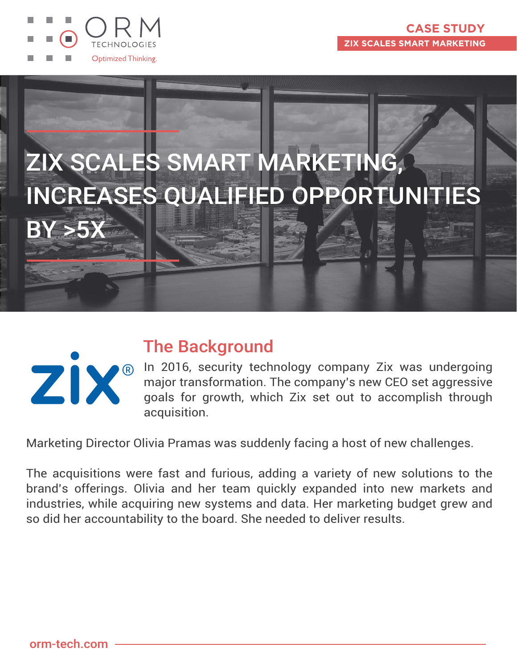





### The Background

In 2016, security technology company Zix was undergoing major transformation. The company's new CEO set aggressive goals for growth, which Zix set out to accomplish through acquisition.

Marketing Director Olivia Pramas was suddenly facing a host of new challenges.

The acquisitions were fast and furious, adding a variety of new solutions to the brand's offerings. Olivia and her team quickly expanded into new markets and industries, while acquiring new systems and data. Her marketing budget grew and so did her accountability to the board. She needed to deliver results.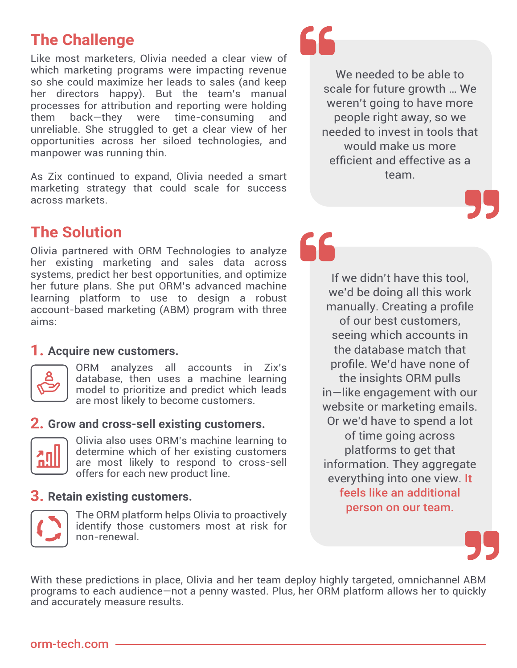# **The Challenge**

Like most marketers, Olivia needed a clear view of which marketing programs were impacting revenue so she could maximize her leads to sales (and keep her directors happy). But the team's manual processes for attribution and reporting were holding them back—they were time-consuming and unreliable. She struggled to get a clear view of her opportunities across her siloed technologies, and manpower was running thin.

As Zix continued to expand, Olivia needed a smart marketing strategy that could scale for success across markets.

### **The Solution**

Olivia partnered with ORM Technologies to analyze her existing marketing and sales data across systems, predict her best opportunities, and optimize her future plans. She put ORM's advanced machine learning platform to use to design a robust account-based marketing (ABM) program with three aims:

### **1. Acquire new customers.**



ORM analyzes all accounts in Zix's database, then uses a machine learning model to prioritize and predict which leads are most likely to become customers.

### **2. Grow and cross-sell existing customers.**



Olivia also uses ORM's machine learning to determine which of her existing customers are most likely to respond to cross-sell offers for each new product line.

### **3. Retain existing customers.**



The ORM platform helps Olivia to proactively identify those customers most at risk for non-renewal.



We needed to be able to scale for future growth … We weren't going to have more people right away, so we needed to invest in tools that would make us more efficient and effective as a team.



If we didn't have this tool, we'd be doing all this work manually. Creating a profile of our best customers, seeing which accounts in the database match that profile. We'd have none of the insights ORM pulls in—like engagement with our website or marketing emails. Or we'd have to spend a lot of time going across platforms to get that information. They aggregate everything into one view. It feels like an additional person on our team.



With these predictions in place, Olivia and her team deploy highly targeted, omnichannel ABM programs to each audience—not a penny wasted. Plus, her ORM platform allows her to quickly and accurately measure results.